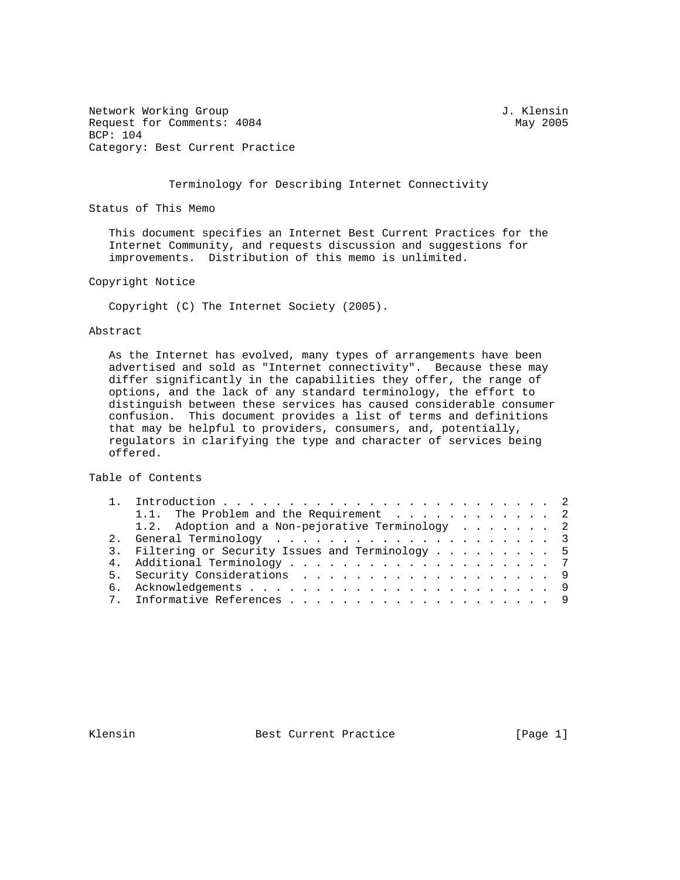Network Working Group 3. The Second Second Second Second Second Second Second Second Second Second Second Second Second Second Second Second Second Second Second Second Second Second Second Second Second Second Second Seco Request for Comments:  $4084$  May 2005 BCP: 104 Category: Best Current Practice

#### Terminology for Describing Internet Connectivity

Status of This Memo

 This document specifies an Internet Best Current Practices for the Internet Community, and requests discussion and suggestions for improvements. Distribution of this memo is unlimited.

Copyright Notice

Copyright (C) The Internet Society (2005).

#### Abstract

 As the Internet has evolved, many types of arrangements have been advertised and sold as "Internet connectivity". Because these may differ significantly in the capabilities they offer, the range of options, and the lack of any standard terminology, the effort to distinguish between these services has caused considerable consumer confusion. This document provides a list of terms and definitions that may be helpful to providers, consumers, and, potentially, regulators in clarifying the type and character of services being offered.

Table of Contents

|  | 1.1. The Problem and the Requirement 2            |
|--|---------------------------------------------------|
|  | 1.2. Adoption and a Non-pejorative Terminology 2  |
|  |                                                   |
|  | 3. Filtering or Security Issues and Terminology 5 |
|  |                                                   |
|  |                                                   |
|  |                                                   |
|  |                                                   |
|  |                                                   |

Klensin Best Current Practice [Page 1]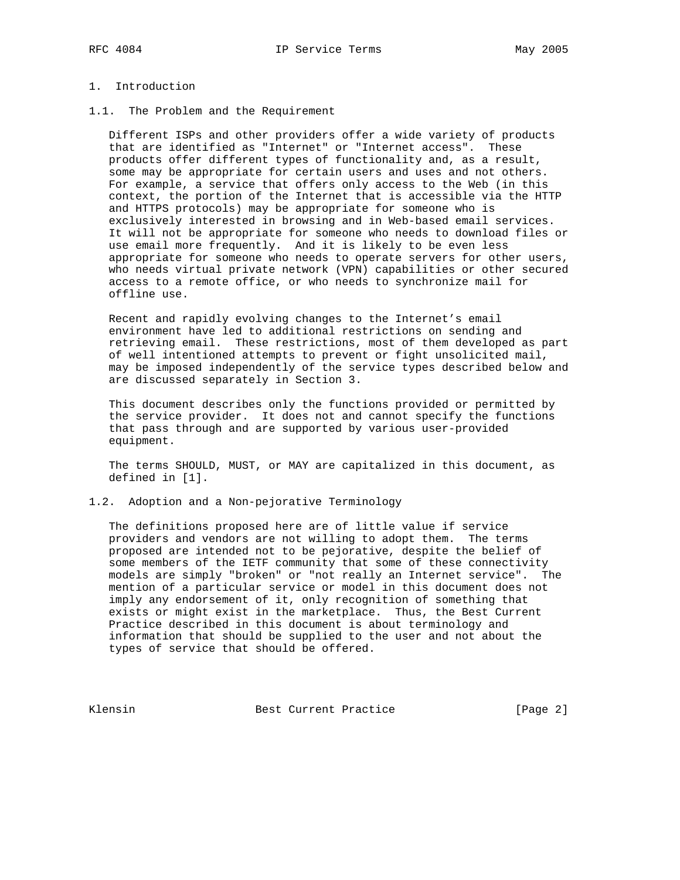# 1. Introduction

1.1. The Problem and the Requirement

 Different ISPs and other providers offer a wide variety of products that are identified as "Internet" or "Internet access". These products offer different types of functionality and, as a result, some may be appropriate for certain users and uses and not others. For example, a service that offers only access to the Web (in this context, the portion of the Internet that is accessible via the HTTP and HTTPS protocols) may be appropriate for someone who is exclusively interested in browsing and in Web-based email services. It will not be appropriate for someone who needs to download files or use email more frequently. And it is likely to be even less appropriate for someone who needs to operate servers for other users, who needs virtual private network (VPN) capabilities or other secured access to a remote office, or who needs to synchronize mail for offline use.

 Recent and rapidly evolving changes to the Internet's email environment have led to additional restrictions on sending and retrieving email. These restrictions, most of them developed as part of well intentioned attempts to prevent or fight unsolicited mail, may be imposed independently of the service types described below and are discussed separately in Section 3.

 This document describes only the functions provided or permitted by the service provider. It does not and cannot specify the functions that pass through and are supported by various user-provided equipment.

 The terms SHOULD, MUST, or MAY are capitalized in this document, as defined in [1].

1.2. Adoption and a Non-pejorative Terminology

 The definitions proposed here are of little value if service providers and vendors are not willing to adopt them. The terms proposed are intended not to be pejorative, despite the belief of some members of the IETF community that some of these connectivity models are simply "broken" or "not really an Internet service". The mention of a particular service or model in this document does not imply any endorsement of it, only recognition of something that exists or might exist in the marketplace. Thus, the Best Current Practice described in this document is about terminology and information that should be supplied to the user and not about the types of service that should be offered.

Klensin Best Current Practice [Page 2]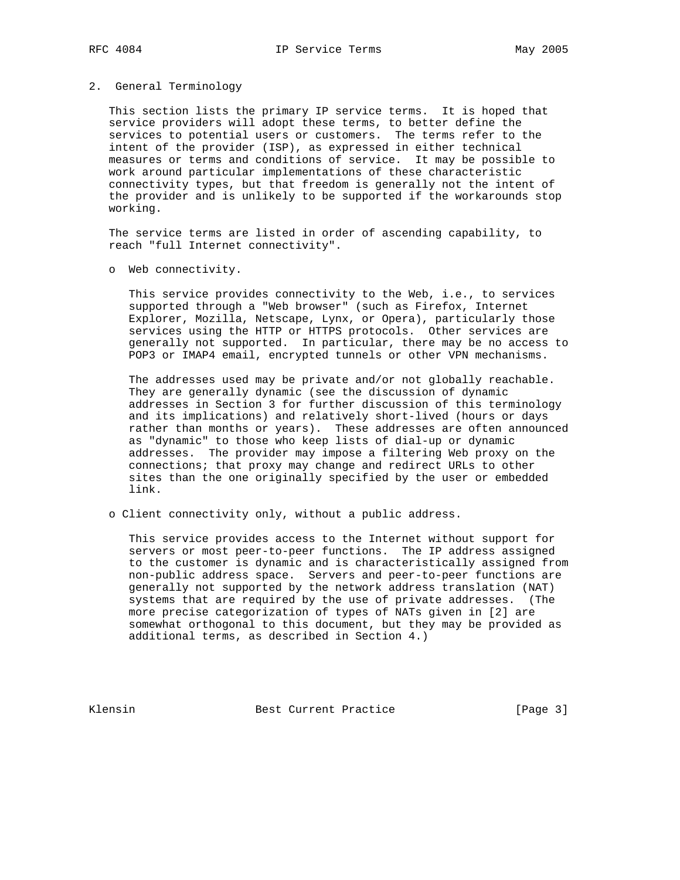### 2. General Terminology

 This section lists the primary IP service terms. It is hoped that service providers will adopt these terms, to better define the services to potential users or customers. The terms refer to the intent of the provider (ISP), as expressed in either technical measures or terms and conditions of service. It may be possible to work around particular implementations of these characteristic connectivity types, but that freedom is generally not the intent of the provider and is unlikely to be supported if the workarounds stop working.

 The service terms are listed in order of ascending capability, to reach "full Internet connectivity".

o Web connectivity.

 This service provides connectivity to the Web, i.e., to services supported through a "Web browser" (such as Firefox, Internet Explorer, Mozilla, Netscape, Lynx, or Opera), particularly those services using the HTTP or HTTPS protocols. Other services are generally not supported. In particular, there may be no access to POP3 or IMAP4 email, encrypted tunnels or other VPN mechanisms.

 The addresses used may be private and/or not globally reachable. They are generally dynamic (see the discussion of dynamic addresses in Section 3 for further discussion of this terminology and its implications) and relatively short-lived (hours or days rather than months or years). These addresses are often announced as "dynamic" to those who keep lists of dial-up or dynamic addresses. The provider may impose a filtering Web proxy on the connections; that proxy may change and redirect URLs to other sites than the one originally specified by the user or embedded link.

o Client connectivity only, without a public address.

 This service provides access to the Internet without support for servers or most peer-to-peer functions. The IP address assigned to the customer is dynamic and is characteristically assigned from non-public address space. Servers and peer-to-peer functions are generally not supported by the network address translation (NAT) systems that are required by the use of private addresses. (The more precise categorization of types of NATs given in [2] are somewhat orthogonal to this document, but they may be provided as additional terms, as described in Section 4.)

Klensin Best Current Practice [Page 3]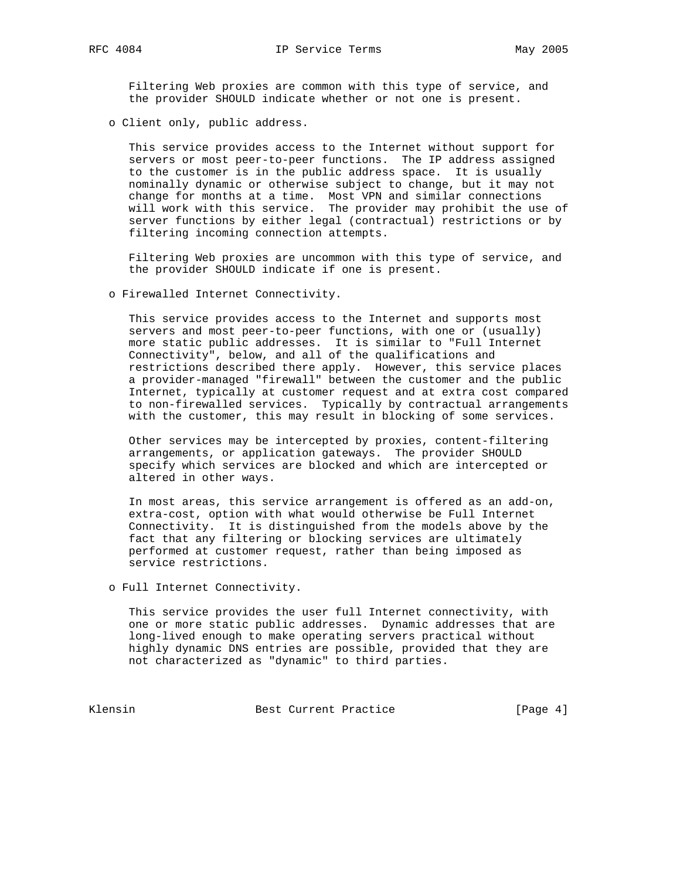the provider SHOULD indicate whether or not one is present.

o Client only, public address.

 This service provides access to the Internet without support for servers or most peer-to-peer functions. The IP address assigned to the customer is in the public address space. It is usually nominally dynamic or otherwise subject to change, but it may not change for months at a time. Most VPN and similar connections will work with this service. The provider may prohibit the use of server functions by either legal (contractual) restrictions or by filtering incoming connection attempts.

 Filtering Web proxies are uncommon with this type of service, and the provider SHOULD indicate if one is present.

o Firewalled Internet Connectivity.

 This service provides access to the Internet and supports most servers and most peer-to-peer functions, with one or (usually) more static public addresses. It is similar to "Full Internet Connectivity", below, and all of the qualifications and restrictions described there apply. However, this service places a provider-managed "firewall" between the customer and the public Internet, typically at customer request and at extra cost compared to non-firewalled services. Typically by contractual arrangements with the customer, this may result in blocking of some services.

 Other services may be intercepted by proxies, content-filtering arrangements, or application gateways. The provider SHOULD specify which services are blocked and which are intercepted or altered in other ways.

 In most areas, this service arrangement is offered as an add-on, extra-cost, option with what would otherwise be Full Internet Connectivity. It is distinguished from the models above by the fact that any filtering or blocking services are ultimately performed at customer request, rather than being imposed as service restrictions.

o Full Internet Connectivity.

 This service provides the user full Internet connectivity, with one or more static public addresses. Dynamic addresses that are long-lived enough to make operating servers practical without highly dynamic DNS entries are possible, provided that they are not characterized as "dynamic" to third parties.

Klensin Best Current Practice [Page 4]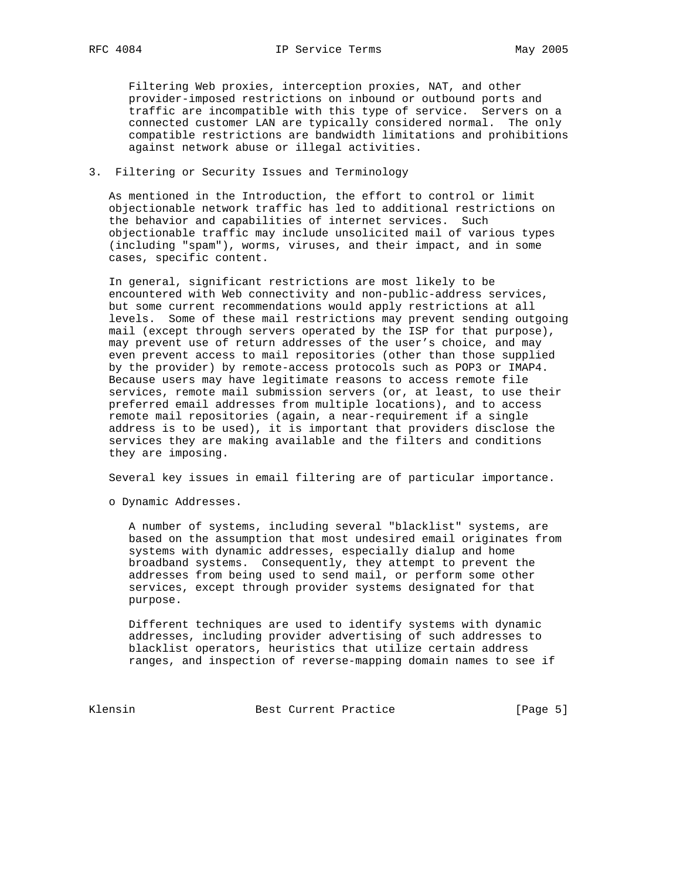Filtering Web proxies, interception proxies, NAT, and other provider-imposed restrictions on inbound or outbound ports and traffic are incompatible with this type of service. Servers on a connected customer LAN are typically considered normal. The only compatible restrictions are bandwidth limitations and prohibitions against network abuse or illegal activities.

### 3. Filtering or Security Issues and Terminology

 As mentioned in the Introduction, the effort to control or limit objectionable network traffic has led to additional restrictions on the behavior and capabilities of internet services. Such objectionable traffic may include unsolicited mail of various types (including "spam"), worms, viruses, and their impact, and in some cases, specific content.

 In general, significant restrictions are most likely to be encountered with Web connectivity and non-public-address services, but some current recommendations would apply restrictions at all levels. Some of these mail restrictions may prevent sending outgoing mail (except through servers operated by the ISP for that purpose), may prevent use of return addresses of the user's choice, and may even prevent access to mail repositories (other than those supplied by the provider) by remote-access protocols such as POP3 or IMAP4. Because users may have legitimate reasons to access remote file services, remote mail submission servers (or, at least, to use their preferred email addresses from multiple locations), and to access remote mail repositories (again, a near-requirement if a single address is to be used), it is important that providers disclose the services they are making available and the filters and conditions they are imposing.

Several key issues in email filtering are of particular importance.

o Dynamic Addresses.

 A number of systems, including several "blacklist" systems, are based on the assumption that most undesired email originates from systems with dynamic addresses, especially dialup and home broadband systems. Consequently, they attempt to prevent the addresses from being used to send mail, or perform some other services, except through provider systems designated for that purpose.

 Different techniques are used to identify systems with dynamic addresses, including provider advertising of such addresses to blacklist operators, heuristics that utilize certain address ranges, and inspection of reverse-mapping domain names to see if

Klensin Best Current Practice [Page 5]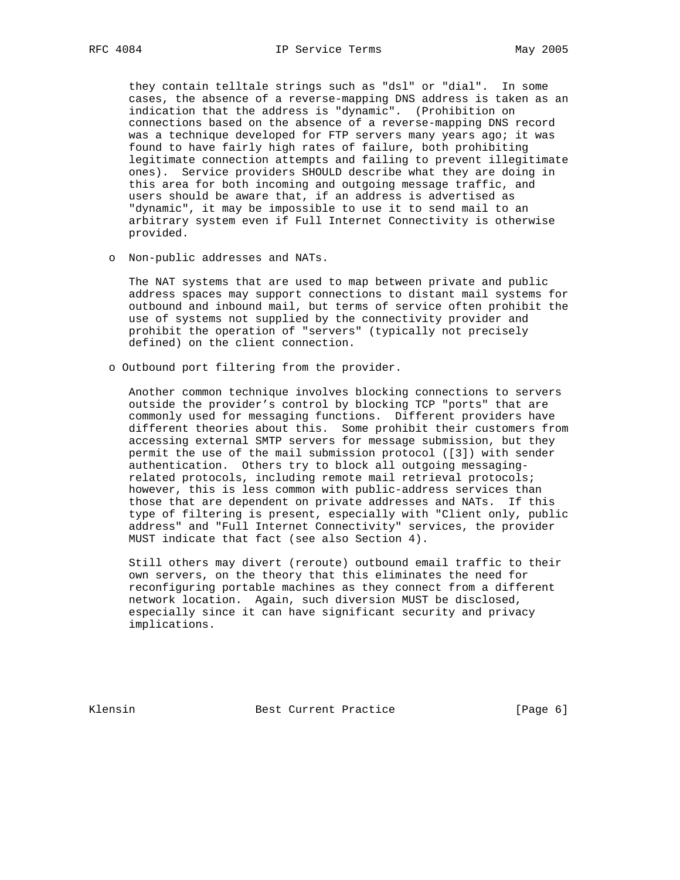they contain telltale strings such as "dsl" or "dial". In some cases, the absence of a reverse-mapping DNS address is taken as an indication that the address is "dynamic". (Prohibition on connections based on the absence of a reverse-mapping DNS record was a technique developed for FTP servers many years ago; it was found to have fairly high rates of failure, both prohibiting legitimate connection attempts and failing to prevent illegitimate ones). Service providers SHOULD describe what they are doing in this area for both incoming and outgoing message traffic, and users should be aware that, if an address is advertised as "dynamic", it may be impossible to use it to send mail to an arbitrary system even if Full Internet Connectivity is otherwise provided.

o Non-public addresses and NATs.

 The NAT systems that are used to map between private and public address spaces may support connections to distant mail systems for outbound and inbound mail, but terms of service often prohibit the use of systems not supplied by the connectivity provider and prohibit the operation of "servers" (typically not precisely defined) on the client connection.

o Outbound port filtering from the provider.

 Another common technique involves blocking connections to servers outside the provider's control by blocking TCP "ports" that are commonly used for messaging functions. Different providers have different theories about this. Some prohibit their customers from accessing external SMTP servers for message submission, but they permit the use of the mail submission protocol ([3]) with sender authentication. Others try to block all outgoing messaging related protocols, including remote mail retrieval protocols; however, this is less common with public-address services than those that are dependent on private addresses and NATs. If this type of filtering is present, especially with "Client only, public address" and "Full Internet Connectivity" services, the provider MUST indicate that fact (see also Section 4).

 Still others may divert (reroute) outbound email traffic to their own servers, on the theory that this eliminates the need for reconfiguring portable machines as they connect from a different network location. Again, such diversion MUST be disclosed, especially since it can have significant security and privacy implications.

Klensin Best Current Practice [Page 6]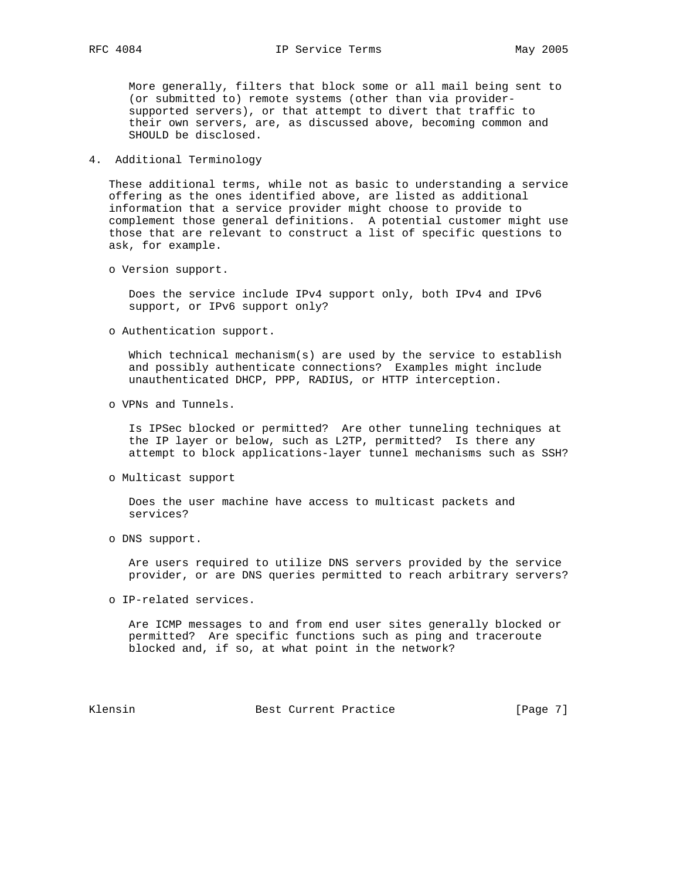More generally, filters that block some or all mail being sent to (or submitted to) remote systems (other than via provider supported servers), or that attempt to divert that traffic to their own servers, are, as discussed above, becoming common and SHOULD be disclosed.

## 4. Additional Terminology

 These additional terms, while not as basic to understanding a service offering as the ones identified above, are listed as additional information that a service provider might choose to provide to complement those general definitions. A potential customer might use those that are relevant to construct a list of specific questions to ask, for example.

o Version support.

 Does the service include IPv4 support only, both IPv4 and IPv6 support, or IPv6 support only?

o Authentication support.

 Which technical mechanism(s) are used by the service to establish and possibly authenticate connections? Examples might include unauthenticated DHCP, PPP, RADIUS, or HTTP interception.

o VPNs and Tunnels.

 Is IPSec blocked or permitted? Are other tunneling techniques at the IP layer or below, such as L2TP, permitted? Is there any attempt to block applications-layer tunnel mechanisms such as SSH?

o Multicast support

 Does the user machine have access to multicast packets and services?

o DNS support.

 Are users required to utilize DNS servers provided by the service provider, or are DNS queries permitted to reach arbitrary servers?

o IP-related services.

 Are ICMP messages to and from end user sites generally blocked or permitted? Are specific functions such as ping and traceroute blocked and, if so, at what point in the network?

Klensin Best Current Practice [Page 7]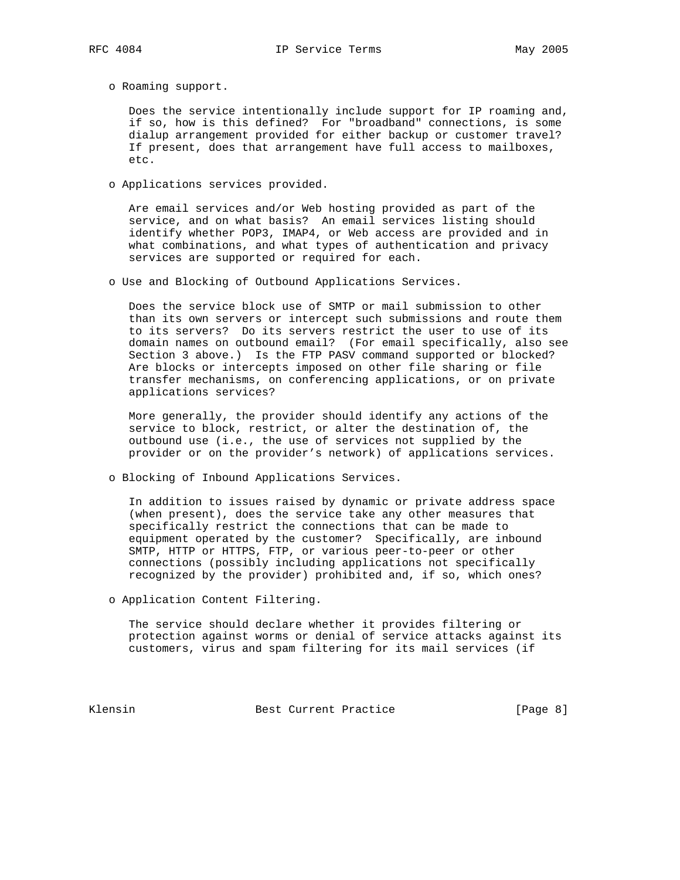o Roaming support.

 Does the service intentionally include support for IP roaming and, if so, how is this defined? For "broadband" connections, is some dialup arrangement provided for either backup or customer travel? If present, does that arrangement have full access to mailboxes, etc.

o Applications services provided.

 Are email services and/or Web hosting provided as part of the service, and on what basis? An email services listing should identify whether POP3, IMAP4, or Web access are provided and in what combinations, and what types of authentication and privacy services are supported or required for each.

o Use and Blocking of Outbound Applications Services.

 Does the service block use of SMTP or mail submission to other than its own servers or intercept such submissions and route them to its servers? Do its servers restrict the user to use of its domain names on outbound email? (For email specifically, also see Section 3 above.) Is the FTP PASV command supported or blocked? Are blocks or intercepts imposed on other file sharing or file transfer mechanisms, on conferencing applications, or on private applications services?

 More generally, the provider should identify any actions of the service to block, restrict, or alter the destination of, the outbound use (i.e., the use of services not supplied by the provider or on the provider's network) of applications services.

o Blocking of Inbound Applications Services.

 In addition to issues raised by dynamic or private address space (when present), does the service take any other measures that specifically restrict the connections that can be made to equipment operated by the customer? Specifically, are inbound SMTP, HTTP or HTTPS, FTP, or various peer-to-peer or other connections (possibly including applications not specifically recognized by the provider) prohibited and, if so, which ones?

o Application Content Filtering.

 The service should declare whether it provides filtering or protection against worms or denial of service attacks against its customers, virus and spam filtering for its mail services (if

Klensin Best Current Practice [Page 8]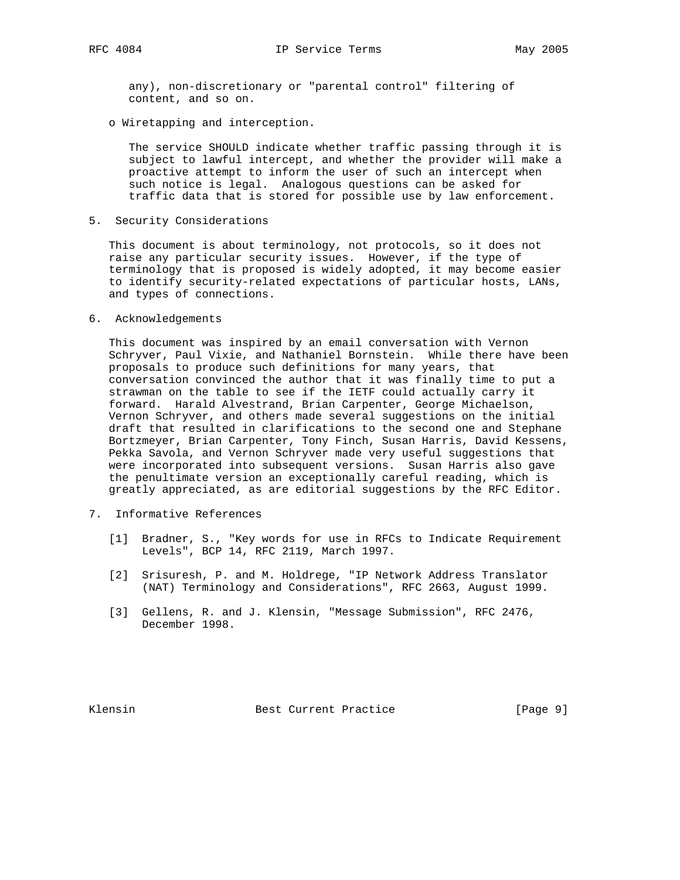any), non-discretionary or "parental control" filtering of content, and so on.

o Wiretapping and interception.

 The service SHOULD indicate whether traffic passing through it is subject to lawful intercept, and whether the provider will make a proactive attempt to inform the user of such an intercept when such notice is legal. Analogous questions can be asked for traffic data that is stored for possible use by law enforcement.

5. Security Considerations

 This document is about terminology, not protocols, so it does not raise any particular security issues. However, if the type of terminology that is proposed is widely adopted, it may become easier to identify security-related expectations of particular hosts, LANs, and types of connections.

6. Acknowledgements

 This document was inspired by an email conversation with Vernon Schryver, Paul Vixie, and Nathaniel Bornstein. While there have been proposals to produce such definitions for many years, that conversation convinced the author that it was finally time to put a strawman on the table to see if the IETF could actually carry it forward. Harald Alvestrand, Brian Carpenter, George Michaelson, Vernon Schryver, and others made several suggestions on the initial draft that resulted in clarifications to the second one and Stephane Bortzmeyer, Brian Carpenter, Tony Finch, Susan Harris, David Kessens, Pekka Savola, and Vernon Schryver made very useful suggestions that were incorporated into subsequent versions. Susan Harris also gave the penultimate version an exceptionally careful reading, which is greatly appreciated, as are editorial suggestions by the RFC Editor.

- 7. Informative References
	- [1] Bradner, S., "Key words for use in RFCs to Indicate Requirement Levels", BCP 14, RFC 2119, March 1997.
	- [2] Srisuresh, P. and M. Holdrege, "IP Network Address Translator (NAT) Terminology and Considerations", RFC 2663, August 1999.
	- [3] Gellens, R. and J. Klensin, "Message Submission", RFC 2476, December 1998.

Klensin Best Current Practice [Page 9]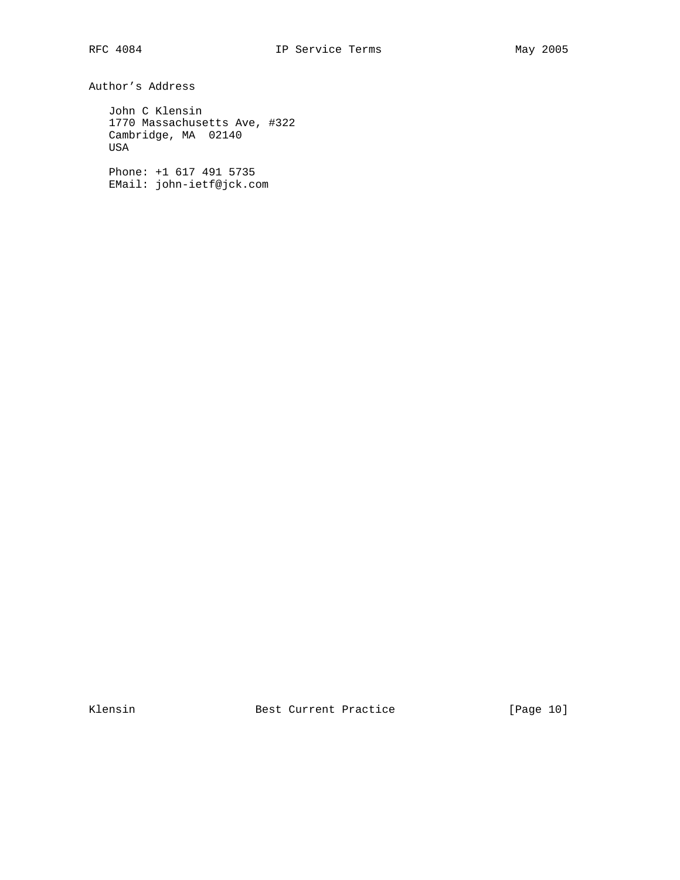Author's Address

 John C Klensin 1770 Massachusetts Ave, #322 Cambridge, MA 02140 USA

 Phone: +1 617 491 5735 EMail: john-ietf@jck.com

Klensin Best Current Practice [Page 10]